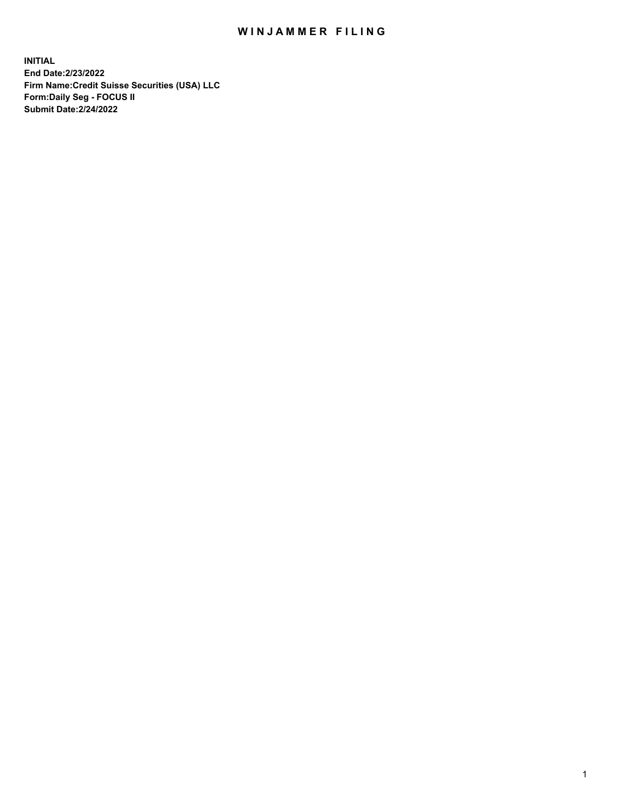## WIN JAMMER FILING

**INITIAL End Date:2/23/2022 Firm Name:Credit Suisse Securities (USA) LLC Form:Daily Seg - FOCUS II Submit Date:2/24/2022**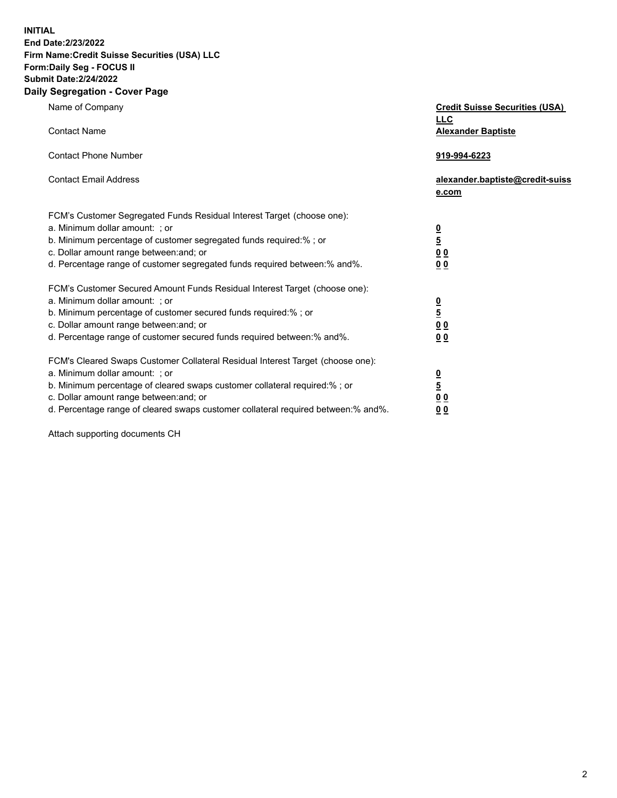**INITIAL** 

## **End Date:2/23/2022 Firm Name:Credit Suisse Securities (USA) LLC Form:Daily Seg - FOCUS II Submit Date:2/24/2022**

## **Daily Segregation - Cover Page**

| Name of Company                                                                   | <b>Credit Suisse Securities (USA)</b><br><b>LLC</b> |
|-----------------------------------------------------------------------------------|-----------------------------------------------------|
| <b>Contact Name</b>                                                               | <b>Alexander Baptiste</b>                           |
| <b>Contact Phone Number</b>                                                       | 919-994-6223                                        |
| <b>Contact Email Address</b>                                                      | alexander.baptiste@credit-suiss<br>e.com            |
| FCM's Customer Segregated Funds Residual Interest Target (choose one):            |                                                     |
| a. Minimum dollar amount: ; or                                                    |                                                     |
| b. Minimum percentage of customer segregated funds required:% ; or                | $\frac{0}{5}$                                       |
| c. Dollar amount range between: and; or                                           | $\underline{0} \underline{0}$                       |
| d. Percentage range of customer segregated funds required between:% and%.         | 0 <sub>0</sub>                                      |
| FCM's Customer Secured Amount Funds Residual Interest Target (choose one):        |                                                     |
| a. Minimum dollar amount: ; or                                                    | $\frac{0}{5}$                                       |
| b. Minimum percentage of customer secured funds required:% ; or                   |                                                     |
| c. Dollar amount range between: and; or                                           | 0 <sub>0</sub>                                      |
| d. Percentage range of customer secured funds required between:% and%.            | 0 <sub>0</sub>                                      |
| FCM's Cleared Swaps Customer Collateral Residual Interest Target (choose one):    |                                                     |
| a. Minimum dollar amount: ; or                                                    | $\frac{0}{5}$                                       |
| b. Minimum percentage of cleared swaps customer collateral required:% ; or        |                                                     |
| c. Dollar amount range between: and; or                                           | 0 <sub>0</sub>                                      |
| d. Percentage range of cleared swaps customer collateral required between:% and%. | 0 <sub>0</sub>                                      |

Attach supporting documents CH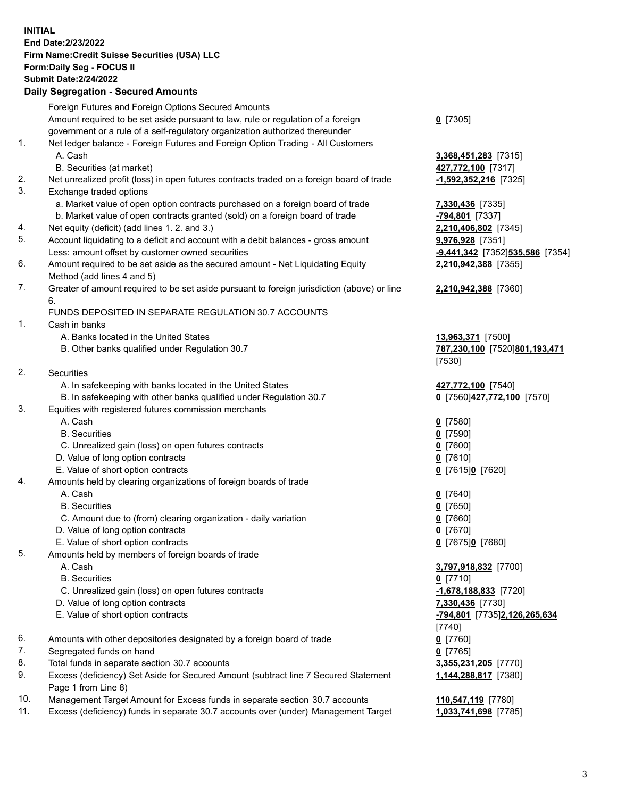**INITIAL End Date:2/23/2022 Firm Name:Credit Suisse Securities (USA) LLC Form:Daily Seg - FOCUS II Submit Date:2/24/2022** 

## **Daily Segregation - Secured Amounts**

|     | Foreign Futures and Foreign Options Secured Amounts                                         |                                 |
|-----|---------------------------------------------------------------------------------------------|---------------------------------|
|     | Amount required to be set aside pursuant to law, rule or regulation of a foreign            | $0$ [7305]                      |
|     | government or a rule of a self-regulatory organization authorized thereunder                |                                 |
| 1.  | Net ledger balance - Foreign Futures and Foreign Option Trading - All Customers             |                                 |
|     | A. Cash                                                                                     | 3,368,451,283 [7315]            |
|     | B. Securities (at market)                                                                   | 427,772,100 [7317]              |
| 2.  | Net unrealized profit (loss) in open futures contracts traded on a foreign board of trade   | $-1,592,352,216$ [7325]         |
| 3.  | Exchange traded options                                                                     |                                 |
|     | a. Market value of open option contracts purchased on a foreign board of trade              | 7,330,436 [7335]                |
|     | b. Market value of open contracts granted (sold) on a foreign board of trade                | -794,801 [7337]                 |
| 4.  | Net equity (deficit) (add lines 1. 2. and 3.)                                               | 2,210,406,802 [7345]            |
| 5.  | Account liquidating to a deficit and account with a debit balances - gross amount           | 9,976,928 [7351]                |
|     | Less: amount offset by customer owned securities                                            | -9,441,342 [7352]535,586 [7354] |
| 6.  | Amount required to be set aside as the secured amount - Net Liquidating Equity              | 2,210,942,388 [7355]            |
|     | Method (add lines 4 and 5)                                                                  |                                 |
| 7.  | Greater of amount required to be set aside pursuant to foreign jurisdiction (above) or line | 2,210,942,388 [7360]            |
|     | 6.                                                                                          |                                 |
|     | FUNDS DEPOSITED IN SEPARATE REGULATION 30.7 ACCOUNTS                                        |                                 |
| 1.  | Cash in banks                                                                               |                                 |
|     | A. Banks located in the United States                                                       | 13,963,371 [7500]               |
|     | B. Other banks qualified under Regulation 30.7                                              | 787,230,100 [7520]801,193,471   |
|     |                                                                                             | [7530]                          |
| 2.  | <b>Securities</b>                                                                           |                                 |
|     | A. In safekeeping with banks located in the United States                                   | 427,772,100 [7540]              |
|     | B. In safekeeping with other banks qualified under Regulation 30.7                          | 0 [7560]427,772,100 [7570]      |
| 3.  | Equities with registered futures commission merchants                                       |                                 |
|     | A. Cash                                                                                     | $0$ [7580]                      |
|     | <b>B.</b> Securities                                                                        | $0$ [7590]                      |
|     | C. Unrealized gain (loss) on open futures contracts                                         | $0$ [7600]                      |
|     | D. Value of long option contracts                                                           | $0$ [7610]                      |
|     | E. Value of short option contracts                                                          | 0 [7615]0 [7620]                |
| 4.  | Amounts held by clearing organizations of foreign boards of trade                           |                                 |
|     | A. Cash                                                                                     | $0$ [7640]                      |
|     | <b>B.</b> Securities                                                                        | $0$ [7650]                      |
|     | C. Amount due to (from) clearing organization - daily variation                             | $0$ [7660]                      |
|     | D. Value of long option contracts                                                           | $0$ [7670]                      |
|     | E. Value of short option contracts                                                          | 0 [7675]0 [7680]                |
| 5.  | Amounts held by members of foreign boards of trade                                          |                                 |
|     | A. Cash                                                                                     | 3,797,918,832 [7700]            |
|     | <b>B.</b> Securities                                                                        | $0$ [7710]                      |
|     | C. Unrealized gain (loss) on open futures contracts                                         | $-1,678,188,833$ [7720]         |
|     | D. Value of long option contracts                                                           | 7,330,436 [7730]                |
|     | E. Value of short option contracts                                                          | -794,801 [7735]2,126,265,634    |
|     |                                                                                             | [7740]                          |
| 6.  | Amounts with other depositories designated by a foreign board of trade                      | $0$ [7760]                      |
| 7.  | Segregated funds on hand                                                                    | $0$ [7765]                      |
| 8.  | Total funds in separate section 30.7 accounts                                               | 3,355,231,205 [7770]            |
| 9.  | Excess (deficiency) Set Aside for Secured Amount (subtract line 7 Secured Statement         | 1,144,288,817 [7380]            |
|     | Page 1 from Line 8)                                                                         |                                 |
| 10. | Management Target Amount for Excess funds in separate section 30.7 accounts                 | 110,547,119 [7780]              |
| 11. | Excess (deficiency) funds in separate 30.7 accounts over (under) Management Target          | 1,033,741,698 [7785]            |
|     |                                                                                             |                                 |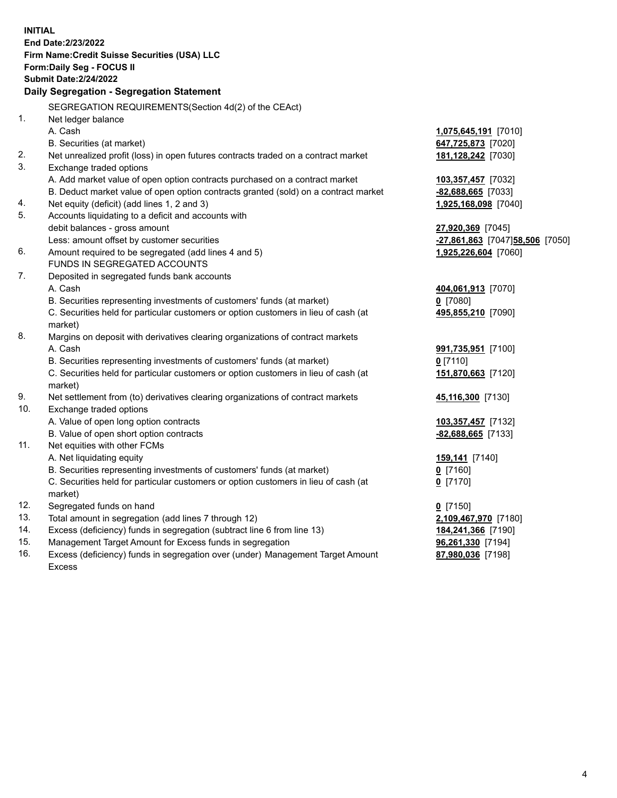15. Management Target Amount for Excess funds in segregation **96,261,330** [7194] 16. Excess (deficiency) funds in segregation over (under) Management Target Amount **87,980,036** [7198] **INITIAL End Date:2/23/2022 Firm Name:Credit Suisse Securities (USA) LLC Form:Daily Seg - FOCUS II Submit Date:2/24/2022 Daily Segregation - Segregation Statement**  SEGREGATION REQUIREMENTS(Section 4d(2) of the CEAct) 1. Net ledger balance A. Cash **1,075,645,191** [7010] B. Securities (at market) **647,725,873** [7020] 2. Net unrealized profit (loss) in open futures contracts traded on a contract market **181,128,242** [7030] 3. Exchange traded options A. Add market value of open option contracts purchased on a contract market **103,357,457** [7032] B. Deduct market value of open option contracts granted (sold) on a contract market **-82,688,665** [7033] 4. Net equity (deficit) (add lines 1, 2 and 3) **1,925,168,098** [7040] 5. Accounts liquidating to a deficit and accounts with debit balances - gross amount **27,920,369** [7045] Less: amount offset by customer securities **-27,861,863** [7047] **58,506** [7050] 6. Amount required to be segregated (add lines 4 and 5) **1,925,226,604** [7060] FUNDS IN SEGREGATED ACCOUNTS 7. Deposited in segregated funds bank accounts A. Cash **404,061,913** [7070] B. Securities representing investments of customers' funds (at market) **0** [7080] C. Securities held for particular customers or option customers in lieu of cash (at **495,855,210** [7090] market) 8. Margins on deposit with derivatives clearing organizations of contract markets A. Cash **991,735,951** [7100] B. Securities representing investments of customers' funds (at market) **0** [7110] C. Securities held for particular customers or option customers in lieu of cash (at **151,870,663** [7120] market) 9. Net settlement from (to) derivatives clearing organizations of contract markets **45,116,300** [7130] 10. Exchange traded options A. Value of open long option contracts **103,357,457** [7132] B. Value of open short option contracts **-82,688,665** [7133] 11. Net equities with other FCMs A. Net liquidating equity **159,141** [7140] B. Securities representing investments of customers' funds (at market) **0** [7160] C. Securities held for particular customers or option customers in lieu of cash (at **0** [7170] market) 12. Segregated funds on hand **0** [7150] 13. Total amount in segregation (add lines 7 through 12) **2,109,467,970** [7180] 14. Excess (deficiency) funds in segregation (subtract line 6 from line 13) **184,241,366** [7190]

Excess